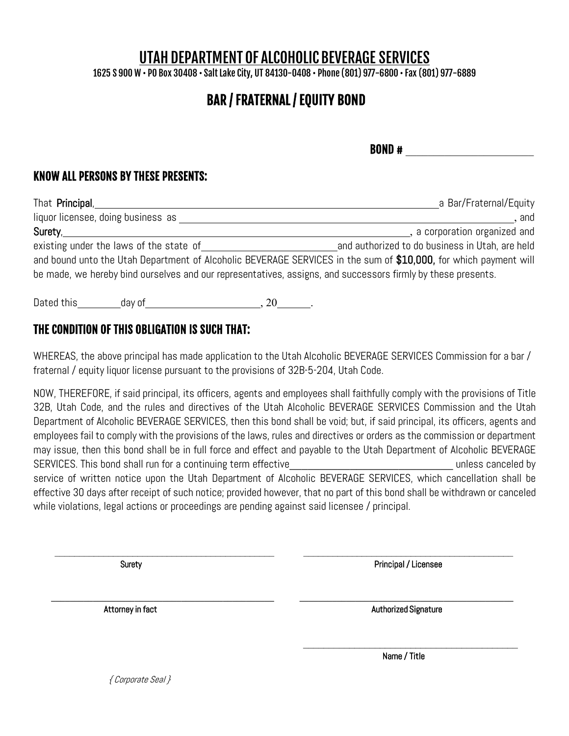# UTAH DEPARTMENT OF ALCOHOLIC BEVERAGE SERVICES

1625 S 900 W • PO Box 30408 • SaltLake City, UT 84130-0408 • Phone (801) 977-6800 • Fax (801) 977-6889

# BAR / FRATERNAL / EQUITY BOND

 $BOND \#$ 

### KNOW ALL PERSONS BY THESE PRESENTS:

| That <b>Principal</b> ,                                                                                          | a Bar/Fraternal/Equity                          |
|------------------------------------------------------------------------------------------------------------------|-------------------------------------------------|
| liquor licensee, doing business as                                                                               | . and                                           |
| Surety,                                                                                                          | , a corporation organized and                   |
| existing under the laws of the state of                                                                          | and authorized to do business in Utah, are held |
| and bound unto the Utah Department of Alcoholic BEVERAGE SERVICES in the sum of \$10,000, for which payment will |                                                 |
| be made, we hereby bind ourselves and our representatives, assigns, and successors firmly by these presents.     |                                                 |
|                                                                                                                  |                                                 |

Dated this day of the set of the set of the set of the set of the set of the set of the set of the set of the s

### THE CONDITION OF THIS OBLIGATION IS SUCH THAT:

WHEREAS, the above principal has made application to the Utah Alcoholic BEVERAGE SERVICES Commission for a bar / fraternal / equity liquor license pursuant to the provisions of 32B-5-204, Utah Code.

NOW, THEREFORE, if said principal, its officers, agents and employees shall faithfully comply with the provisions of Title 32B, Utah Code, and the rules and directives of the Utah Alcoholic BEVERAGE SERVICES Commission and the Utah Department of Alcoholic BEVERAGE SERVICES, then this bond shall be void; but, if said principal, its officers, agents and employees fail to comply with the provisions of the laws, rules and directives or orders as the commission or department may issue, then this bond shall be in full force and effect and payable to the Utah Department of Alcoholic BEVERAGE SERVICES. This bond shall run for a continuing term effective entity and the state of the state of the state of the state of the state of the state of the state of the state of the state of the state of the state of the st service of written notice upon the Utah Department of Alcoholic BEVERAGE SERVICES, which cancellation shall be effective 30 days after receipt of such notice; provided however, that no part of this bond shall be withdrawn or canceled while violations, legal actions or proceedings are pending against said licensee / principal.

\_\_\_\_\_\_\_\_\_\_\_\_\_\_\_\_\_\_\_\_\_\_\_\_\_\_\_\_\_\_\_\_\_\_\_\_\_\_\_\_\_\_\_\_\_ \_\_\_\_\_\_\_\_\_\_\_\_\_\_\_\_\_\_\_\_\_\_\_\_\_\_\_\_\_\_\_\_\_\_\_\_\_\_\_\_\_\_\_

 $\bar{a}$  ,  $\bar{a}$  ,  $\bar{a}$  ,  $\bar{a}$  ,  $\bar{a}$  ,  $\bar{a}$  ,  $\bar{a}$  ,  $\bar{a}$  ,  $\bar{a}$  ,  $\bar{a}$  ,  $\bar{a}$  ,  $\bar{a}$  ,  $\bar{a}$  ,  $\bar{a}$  ,  $\bar{a}$  ,  $\bar{a}$  ,  $\bar{a}$  ,  $\bar{a}$  ,  $\bar{a}$  ,  $\bar{a}$  ,  $\bar{a}$  ,  $\bar{a}$  ,

\_\_\_\_\_\_\_\_\_\_\_\_\_\_\_\_\_\_\_\_\_\_\_\_\_\_\_\_\_\_\_\_\_\_\_\_\_\_\_\_\_\_

SuretyPrincipal / Licensee

Attorney in factAuthorized Signature

Name / Title

{ Corporate Seal }